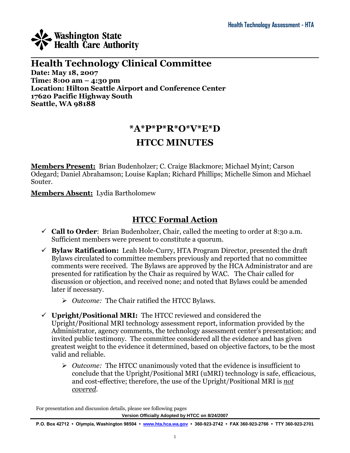

### $\mathcal{L}_\mathcal{L} = \mathcal{L}_\mathcal{L} = \mathcal{L}_\mathcal{L} = \mathcal{L}_\mathcal{L} = \mathcal{L}_\mathcal{L} = \mathcal{L}_\mathcal{L} = \mathcal{L}_\mathcal{L} = \mathcal{L}_\mathcal{L} = \mathcal{L}_\mathcal{L} = \mathcal{L}_\mathcal{L} = \mathcal{L}_\mathcal{L} = \mathcal{L}_\mathcal{L} = \mathcal{L}_\mathcal{L} = \mathcal{L}_\mathcal{L} = \mathcal{L}_\mathcal{L} = \mathcal{L}_\mathcal{L} = \mathcal{L}_\mathcal{L}$ **Health Technology Clinical Committee Date: May 18, 2007 Time: 8:00 am – 4:30 pm Location: Hilton Seattle Airport and Conference Center 17620 Pacific Highway South Seattle, WA 98188**

## **\*A\*P\*P\*R\*O\*V\*E\*D**

## **HTCC MINUTES**

**Members Present:** Brian Budenholzer; C. Craige Blackmore; Michael Myint; Carson Odegard; Daniel Abrahamson; Louise Kaplan; Richard Phillips; Michelle Simon and Michael Souter.

**Members Absent:** Lydia Bartholomew

## **HTCC Formal Action**

- $\checkmark$  **Call to Order**: Brian Budenholzer, Chair, called the meeting to order at 8:30 a.m. Sufficient members were present to constitute a quorum.
- **Bylaw Ratification:** Leah Hole-Curry, HTA Program Director, presented the draft Bylaws circulated to committee members previously and reported that no committee comments were received. The Bylaws are approved by the HCA Administrator and are presented for ratification by the Chair as required by WAC. The Chair called for discussion or objection, and received none; and noted that Bylaws could be amended later if necessary.
	- *Outcome:* The Chair ratified the HTCC Bylaws.
- **Upright/Positional MRI:** The HTCC reviewed and considered the Upright/Positional MRI technology assessment report, information provided by the Administrator, agency comments, the technology assessment center's presentation; and invited public testimony. The committee considered all the evidence and has given greatest weight to the evidence it determined, based on objective factors, to be the most valid and reliable.
	- *Outcome:* The HTCC unanimously voted that the evidence is insufficient to conclude that the Upright/Positional MRI (uMRI) technology is safe, efficacious, and cost-effective; therefore, the use of the Upright/Positional MRI is *not covered*.

For presentation and discussion details, please see following pages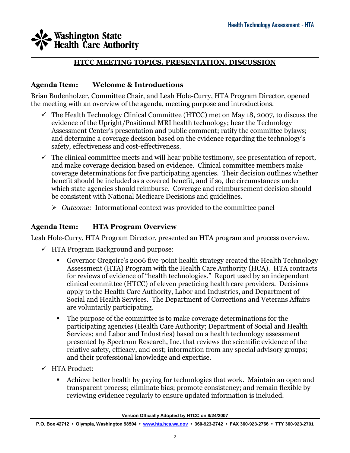#### $\mathcal{L}_\mathcal{L} = \mathcal{L}_\mathcal{L} = \mathcal{L}_\mathcal{L} = \mathcal{L}_\mathcal{L} = \mathcal{L}_\mathcal{L} = \mathcal{L}_\mathcal{L} = \mathcal{L}_\mathcal{L} = \mathcal{L}_\mathcal{L} = \mathcal{L}_\mathcal{L} = \mathcal{L}_\mathcal{L} = \mathcal{L}_\mathcal{L} = \mathcal{L}_\mathcal{L} = \mathcal{L}_\mathcal{L} = \mathcal{L}_\mathcal{L} = \mathcal{L}_\mathcal{L} = \mathcal{L}_\mathcal{L} = \mathcal{L}_\mathcal{L}$ **HTCC MEETING TOPICS, PRESENTATION, DISCUSSION**

### **Agenda Item: Welcome & Introductions**

Brian Budenholzer, Committee Chair, and Leah Hole-Curry, HTA Program Director, opened the meeting with an overview of the agenda, meeting purpose and introductions.

- $\checkmark$  The Health Technology Clinical Committee (HTCC) met on May 18, 2007, to discuss the evidence of the Upright/Positional MRI health technology; hear the Technology Assessment Center's presentation and public comment; ratify the committee bylaws; and determine a coverage decision based on the evidence regarding the technology's safety, effectiveness and cost-effectiveness.
- $\checkmark$  The clinical committee meets and will hear public testimony, see presentation of report, and make coverage decision based on evidence. Clinical committee members make coverage determinations for five participating agencies. Their decision outlines whether benefit should be included as a covered benefit, and if so, the circumstances under which state agencies should reimburse. Coverage and reimbursement decision should be consistent with National Medicare Decisions and guidelines.
	- *Outcome:* Informational context was provided to the committee panel

### **Agenda Item: HTA Program Overview**

Leah Hole-Curry, HTA Program Director, presented an HTA program and process overview.

- $\checkmark$  HTA Program Background and purpose:
	- Governor Gregoire's 2006 five-point health strategy created the Health Technology Assessment (HTA) Program with the Health Care Authority (HCA). HTA contracts for reviews of evidence of "health technologies." Report used by an independent clinical committee (HTCC) of eleven practicing health care providers. Decisions apply to the Health Care Authority, Labor and Industries, and Department of Social and Health Services. The Department of Corrections and Veterans Affairs are voluntarily participating.
	- The purpose of the committee is to make coverage determinations for the participating agencies (Health Care Authority; Department of Social and Health Services; and Labor and Industries) based on a health technology assessment presented by Spectrum Research, Inc. that reviews the scientific evidence of the relative safety, efficacy, and cost; information from any special advisory groups; and their professional knowledge and expertise.
- HTA Product:
	- Achieve better health by paying for technologies that work. Maintain an open and transparent process; eliminate bias; promote consistency; and remain flexible by reviewing evidence regularly to ensure updated information is included.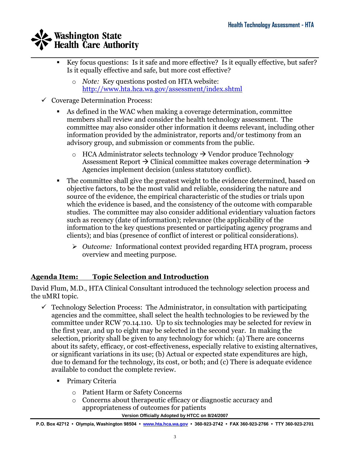- $\mathcal{L}_\mathcal{L} = \mathcal{L}_\mathcal{L} = \mathcal{L}_\mathcal{L} = \mathcal{L}_\mathcal{L} = \mathcal{L}_\mathcal{L} = \mathcal{L}_\mathcal{L} = \mathcal{L}_\mathcal{L} = \mathcal{L}_\mathcal{L} = \mathcal{L}_\mathcal{L} = \mathcal{L}_\mathcal{L} = \mathcal{L}_\mathcal{L} = \mathcal{L}_\mathcal{L} = \mathcal{L}_\mathcal{L} = \mathcal{L}_\mathcal{L} = \mathcal{L}_\mathcal{L} = \mathcal{L}_\mathcal{L} = \mathcal{L}_\mathcal{L}$  Key focus questions: Is it safe and more effective? Is it equally effective, but safer? Is it equally effective and safe, but more cost effective?
	- o *Note:* Key questions posted on HTA website: <http://www.hta.hca.wa.gov/assessment/index.shtml>
	- $\checkmark$  Coverage Determination Process:
		- As defined in the WAC when making a coverage determination, committee members shall review and consider the health technology assessment. The committee may also consider other information it deems relevant, including other information provided by the administrator, reports and/or testimony from an advisory group, and submission or comments from the public.
			- $\circ$  HCA Administrator selects technology  $\rightarrow$  Vendor produce Technology Assessment Report  $\rightarrow$  Clinical committee makes coverage determination  $\rightarrow$ Agencies implement decision (unless statutory conflict).
		- The committee shall give the greatest weight to the evidence determined, based on objective factors, to be the most valid and reliable, considering the nature and source of the evidence, the empirical characteristic of the studies or trials upon which the evidence is based, and the consistency of the outcome with comparable studies. The committee may also consider additional evidentiary valuation factors such as recency (date of information); relevance (the applicability of the information to the key questions presented or participating agency programs and clients); and bias (presence of conflict of interest or political considerations).
			- *Outcome:* Informational context provided regarding HTA program, process overview and meeting purpose.

### **Agenda Item: Topic Selection and Introduction**

David Flum, M.D., HTA Clinical Consultant introduced the technology selection process and the uMRI topic.

- $\checkmark$  Technology Selection Process: The Administrator, in consultation with participating agencies and the committee, shall select the health technologies to be reviewed by the committee under RCW 70.14.110. Up to six technologies may be selected for review in the first year, and up to eight may be selected in the second year. In making the selection, priority shall be given to any technology for which: (a) There are concerns about its safety, efficacy, or cost-effectiveness, especially relative to existing alternatives, or significant variations in its use; (b) Actual or expected state expenditures are high, due to demand for the technology, its cost, or both; and (c) There is adequate evidence available to conduct the complete review.
	- **•** Primary Criteria
		- o Patient Harm or Safety Concerns
		- o Concerns about therapeutic efficacy or diagnostic accuracy and appropriateness of outcomes for patients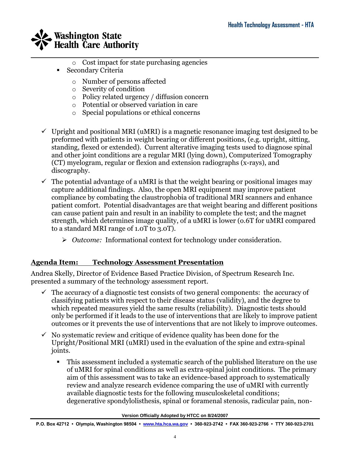

- o Cost impact for state purchasing agencies
- **Secondary Criteria** 
	- o Number of persons affected
	- o Severity of condition
	- o Policy related urgency / diffusion concern
	- o Potential or observed variation in care
	- o Special populations or ethical concerns
- $\checkmark$  Upright and positional MRI (uMRI) is a magnetic resonance imaging test designed to be preformed with patients in weight bearing or different positions, (e.g. upright, sitting, standing, flexed or extended). Current alterative imaging tests used to diagnose spinal and other joint conditions are a regular MRI (lying down), Computerized Tomography (CT) myelogram, regular or flexion and extension radiographs (x-rays), and discography.
- $\checkmark$  The potential advantage of a uMRI is that the weight bearing or positional images may capture additional findings. Also, the open MRI equipment may improve patient compliance by combating the claustrophobia of traditional MRI scanners and enhance patient comfort. Potential disadvantages are that weight bearing and different positions can cause patient pain and result in an inability to complete the test; and the magnet strength, which determines image quality, of a uMRI is lower (o.6T for uMRI compared to a standard MRI range of 1.0T to 3.0T).
	- *Outcome:* Informational context for technology under consideration.

### **Agenda Item: Technology Assessment Presentation**

Andrea Skelly, Director of Evidence Based Practice Division, of Spectrum Research Inc. presented a summary of the technology assessment report.

- $\checkmark$  The accuracy of a diagnostic test consists of two general components: the accuracy of classifying patients with respect to their disease status (validity), and the degree to which repeated measures yield the same results (reliability). Diagnostic tests should only be performed if it leads to the use of interventions that are likely to improve patient outcomes or it prevents the use of interventions that are not likely to improve outcomes.
- $\checkmark$  No systematic review and critique of evidence quality has been done for the Upright/Positional MRI (uMRI) used in the evaluation of the spine and extra-spinal joints.
	- This assessment included a systematic search of the published literature on the use of uMRI for spinal conditions as well as extra-spinal joint conditions. The primary aim of this assessment was to take an evidence-based approach to systematically review and analyze research evidence comparing the use of uMRI with currently available diagnostic tests for the following musculoskeletal conditions; degenerative spondylolisthesis, spinal or foramenal stenosis, radicular pain, non-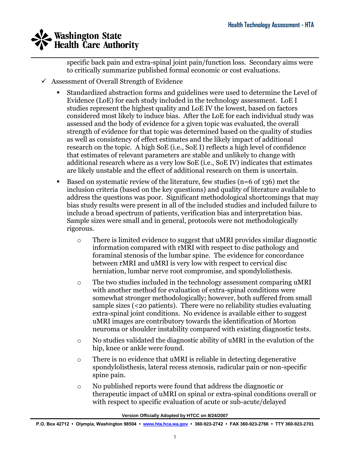$\mathcal{L}_\mathcal{L} = \mathcal{L}_\mathcal{L} = \mathcal{L}_\mathcal{L} = \mathcal{L}_\mathcal{L} = \mathcal{L}_\mathcal{L} = \mathcal{L}_\mathcal{L} = \mathcal{L}_\mathcal{L} = \mathcal{L}_\mathcal{L} = \mathcal{L}_\mathcal{L} = \mathcal{L}_\mathcal{L} = \mathcal{L}_\mathcal{L} = \mathcal{L}_\mathcal{L} = \mathcal{L}_\mathcal{L} = \mathcal{L}_\mathcal{L} = \mathcal{L}_\mathcal{L} = \mathcal{L}_\mathcal{L} = \mathcal{L}_\mathcal{L}$ specific back pain and extra-spinal joint pain/function loss. Secondary aims were to critically summarize published formal economic or cost evaluations.

- $\checkmark$  Assessment of Overall Strength of Evidence
	- Standardized abstraction forms and guidelines were used to determine the Level of Evidence (LoE) for each study included in the technology assessment. LoE I studies represent the highest quality and LoE IV the lowest, based on factors considered most likely to induce bias. After the LoE for each individual study was assessed and the body of evidence for a given topic was evaluated, the overall strength of evidence for that topic was determined based on the quality of studies as well as consistency of effect estimates and the likely impact of additional research on the topic. A high SoE (i.e., SoE I) reflects a high level of confidence that estimates of relevant parameters are stable and unlikely to change with additional research where as a very low SoE (i.e., SoE IV) indicates that estimates are likely unstable and the effect of additional research on them is uncertain.
	- Based on systematic review of the literature, few studies (n=6 of 136) met the inclusion criteria (based on the key questions) and quality of literature available to address the questions was poor. Significant methodological shortcomings that may bias study results were present in all of the included studies and included failure to include a broad spectrum of patients, verification bias and interpretation bias. Sample sizes were small and in general, protocols were not methodologically rigorous.
		- o There is limited evidence to suggest that uMRI provides similar diagnostic information compared with rMRI with respect to disc pathology and foraminal stenosis of the lumbar spine. The evidence for concordance between rMRI and uMRI is very low with respect to cervical disc herniation, lumbar nerve root compromise, and spondylolisthesis.
		- o The two studies included in the technology assessment comparing uMRI with another method for evaluation of extra-spinal conditions were somewhat stronger methodologically; however, both suffered from small sample sizes (<20 patients). There were no reliability studies evaluating extra-spinal joint conditions. No evidence is available either to suggest uMRI images are contributory towards the identification of Morton neuroma or shoulder instability compared with existing diagnostic tests.
		- o No studies validated the diagnostic ability of uMRI in the evalution of the hip, knee or ankle were found.
		- $\circ$  There is no evidence that uMRI is reliable in detecting degenerative spondylolisthesis, lateral recess stenosis, radicular pain or non-specific spine pain.
		- o No published reports were found that address the diagnostic or therapeutic impact of uMRI on spinal or extra-spinal conditions overall or with respect to specific evaluation of acute or sub-acute/delayed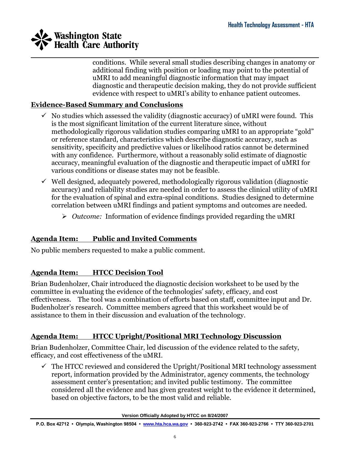

conditions. While several small studies describing changes in anatomy or additional finding with position or loading may point to the potential of uMRI to add meaningful diagnostic information that may impact diagnostic and therapeutic decision making, they do not provide sufficient evidence with respect to uMRI's ability to enhance patient outcomes.

### **Evidence-Based Summary and Conclusions**

- $\checkmark$  No studies which assessed the validity (diagnostic accuracy) of uMRI were found. This is the most significant limitation of the current literature since, without methodologically rigorous validation studies comparing uMRI to an appropriate "gold" or reference standard, characteristics which describe diagnostic accuracy, such as sensitivity, specificity and predictive values or likelihood ratios cannot be determined with any confidence. Furthermore, without a reasonably solid estimate of diagnostic accuracy, meaningful evaluation of the diagnostic and therapeutic impact of uMRI for various conditions or disease states may not be feasible.
- $\checkmark$  Well designed, adequately powered, methodologically rigorous validation (diagnostic accuracy) and reliability studies are needed in order to assess the clinical utility of uMRI for the evaluation of spinal and extra-spinal conditions. Studies designed to determine correlation between uMRI findings and patient symptoms and outcomes are needed.
	- *Outcome:* Information of evidence findings provided regarding the uMRI

### **Agenda Item: Public and Invited Comments**

No public members requested to make a public comment.

### **Agenda Item: HTCC Decision Tool**

Brian Budenholzer, Chair introduced the diagnostic decision worksheet to be used by the committee in evaluating the evidence of the technologies' safety, efficacy, and cost effectiveness. The tool was a combination of efforts based on staff, committee input and Dr. Budenholzer's research. Committee members agreed that this worksheet would be of assistance to them in their discussion and evaluation of the technology.

### **Agenda Item: HTCC Upright/Positional MRI Technology Discussion**

Brian Budenholzer, Committee Chair, led discussion of the evidence related to the safety, efficacy, and cost effectiveness of the uMRI.

 $\checkmark$  The HTCC reviewed and considered the Upright/Positional MRI technology assessment report, information provided by the Administrator, agency comments, the technology assessment center's presentation; and invited public testimony. The committee considered all the evidence and has given greatest weight to the evidence it determined, based on objective factors, to be the most valid and reliable.